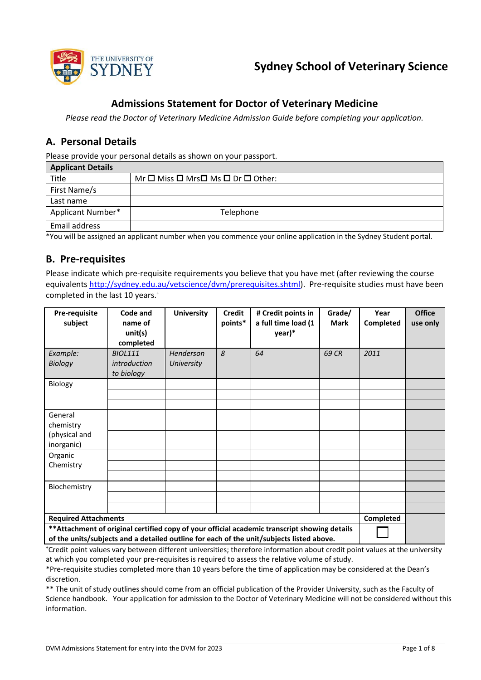

## **Admissions Statement for Doctor of Veterinary Medicine**

*Please read the Doctor of Veterinary Medicine Admission Guide before completing your application.*

## **A. Personal Details**

Please provide your personal details as shown on your passport.

| <b>Applicant Details</b> |                                                             |
|--------------------------|-------------------------------------------------------------|
| Title                    | $Mr \Box$ Miss $\Box$ Mrs $\Box$ Ms $\Box$ Dr $\Box$ Other: |
| First Name/s             |                                                             |
| Last name                |                                                             |
| <b>Applicant Number*</b> | Telephone                                                   |
| Email address            |                                                             |

\*You will be assigned an applicant number when you commence your online application in the Sydney Student portal.

## **B. Pre-requisites**

Please indicate which pre-requisite requirements you believe that you have met (after reviewing the course equivalent[s http://sydney.edu.au/vetscience/dvm/prerequisites.shtml\)](http://sydney.edu.au/vetscience/dvm/prerequisites.shtml). Pre-requisite studies must have been completed in the last 10 years.<sup>+</sup>

| Pre-requisite<br>subject                                                                                                                                                                                                 | Code and<br>name of<br>unit(s)<br>completed         | <b>University</b>       | <b>Credit</b><br>points* | # Credit points in<br>a full time load (1<br>year)* | Grade/<br><b>Mark</b> | Year<br>Completed | <b>Office</b><br>use only |
|--------------------------------------------------------------------------------------------------------------------------------------------------------------------------------------------------------------------------|-----------------------------------------------------|-------------------------|--------------------------|-----------------------------------------------------|-----------------------|-------------------|---------------------------|
| Example:<br><b>Biology</b>                                                                                                                                                                                               | <b>BIOL111</b><br><i>introduction</i><br>to biology | Henderson<br>University | 8                        | 64                                                  | 69 CR                 | 2011              |                           |
| Biology                                                                                                                                                                                                                  |                                                     |                         |                          |                                                     |                       |                   |                           |
| General<br>chemistry<br>(physical and<br>inorganic)                                                                                                                                                                      |                                                     |                         |                          |                                                     |                       |                   |                           |
| Organic<br>Chemistry                                                                                                                                                                                                     |                                                     |                         |                          |                                                     |                       |                   |                           |
| Biochemistry                                                                                                                                                                                                             |                                                     |                         |                          |                                                     |                       |                   |                           |
| <b>Required Attachments</b><br>** Attachment of original certified copy of your official academic transcript showing details<br>of the units/subjects and a detailed outline for each of the unit/subjects listed above. |                                                     |                         |                          | Completed                                           |                       |                   |                           |

+ Credit point values vary between different universities; therefore information about credit point values at the university at which you completed your pre-requisites is required to assess the relative volume of study.

\*Pre-requisite studies completed more than 10 years before the time of application may be considered at the Dean's discretion.

\*\* The unit of study outlines should come from an official publication of the Provider University, such as the Faculty of Science handbook. Your application for admission to the Doctor of Veterinary Medicine will not be considered without this information.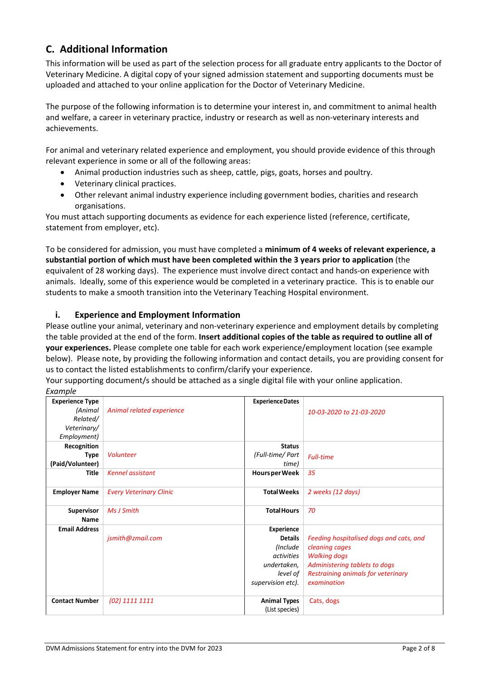# **C. Additional Information**

This information will be used as part of the selection process for all graduate entry applicants to the Doctor of Veterinary Medicine. A digital copy of your signed admission statement and supporting documents must be uploaded and attached to your online application for the Doctor of Veterinary Medicine.

The purpose of the following information is to determine your interest in, and commitment to animal health and welfare, a career in veterinary practice, industry or research as well as non-veterinary interests and achievements.

For animal and veterinary related experience and employment, you should provide evidence of this through relevant experience in some or all of the following areas:

- Animal production industries such as sheep, cattle, pigs, goats, horses and poultry.
- Veterinary clinical practices.
- Other relevant animal industry experience including government bodies, charities and research organisations.

You must attach supporting documents as evidence for each experience listed (reference, certificate, statement from employer, etc).

To be considered for admission, you must have completed a **minimum of 4 weeks of relevant experience, a substantial portion of which must have been completed within the 3 years prior to application** (the equivalent of 28 working days). The experience must involve direct contact and hands-on experience with animals. Ideally, some of this experience would be completed in a veterinary practice. This is to enable our students to make a smooth transition into the Veterinary Teaching Hospital environment.

### **i. Experience and Employment Information**

Please outline your animal, veterinary and non-veterinary experience and employment details by completing the table provided at the end of the form. **Insert additional copies of the table as required to outline all of your experiences.** Please complete one table for each work experience/employment location (see example below). Please note, by providing the following information and contact details, you are providing consent for us to contact the listed establishments to confirm/clarify your experience.

Your supporting document/s should be attached as a single digital file with your online application. *Example* 

| Exumple                |                                |                         |                                         |
|------------------------|--------------------------------|-------------------------|-----------------------------------------|
| <b>Experience Type</b> |                                | <b>Experience Dates</b> |                                         |
| (Animal                | Animal related experience      |                         | 10-03-2020 to 21-03-2020                |
| Related/               |                                |                         |                                         |
| Veterinary/            |                                |                         |                                         |
| Employment)            |                                |                         |                                         |
| Recognition            |                                | <b>Status</b>           |                                         |
| Type                   | <b>Volunteer</b>               | (Full-time/ Part        | <b>Full-time</b>                        |
| (Paid/Volunteer)       |                                | time)                   |                                         |
| <b>Title</b>           | <b>Kennel assistant</b>        | Hours per Week          | 35                                      |
|                        |                                |                         |                                         |
| <b>Employer Name</b>   | <b>Every Veterinary Clinic</b> | <b>Total Weeks</b>      | 2 weeks (12 days)                       |
|                        |                                |                         |                                         |
| <b>Supervisor</b>      | Ms J Smith                     | <b>Total Hours</b>      | 70                                      |
| Name                   |                                |                         |                                         |
| <b>Email Address</b>   |                                | Experience              |                                         |
|                        | jsmith@zmail.com               | <b>Details</b>          | Feeding hospitalised dogs and cats, and |
|                        |                                | (Include                | cleaning cages                          |
|                        |                                | activities              | <b>Walking dogs</b>                     |
|                        |                                | undertaken,             | Administering tablets to dogs           |
|                        |                                | level of                | Restraining animals for veterinary      |
|                        |                                | supervision etc).       | examination                             |
| <b>Contact Number</b>  | (02) 1111 1111                 | <b>Animal Types</b>     | Cats, dogs                              |
|                        |                                | (List species)          |                                         |
|                        |                                |                         |                                         |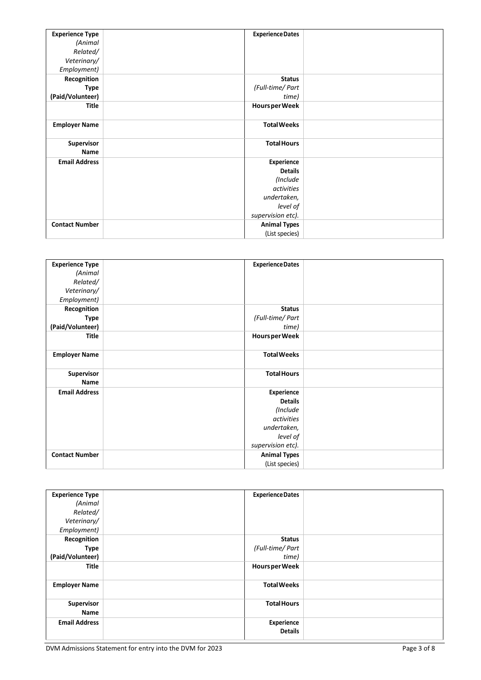| <b>Experience Type</b> | <b>Experience Dates</b> |  |
|------------------------|-------------------------|--|
| (Animal                |                         |  |
| Related/               |                         |  |
| Veterinary/            |                         |  |
| Employment)            |                         |  |
| Recognition            | <b>Status</b>           |  |
| Type                   | (Full-time/ Part        |  |
| (Paid/Volunteer)       | time)                   |  |
| <b>Title</b>           | Hours per Week          |  |
|                        |                         |  |
| <b>Employer Name</b>   | <b>Total Weeks</b>      |  |
|                        |                         |  |
| <b>Supervisor</b>      | <b>Total Hours</b>      |  |
| Name                   |                         |  |
| <b>Email Address</b>   | Experience              |  |
|                        | <b>Details</b>          |  |
|                        | (Include                |  |
|                        | activities              |  |
|                        | undertaken,             |  |
|                        | level of                |  |
|                        | supervision etc).       |  |
| <b>Contact Number</b>  | <b>Animal Types</b>     |  |
|                        | (List species)          |  |

| <b>Experience Type</b> | <b>Experience Dates</b> |  |
|------------------------|-------------------------|--|
| (Animal                |                         |  |
| Related/               |                         |  |
| Veterinary/            |                         |  |
| Employment)            |                         |  |
| Recognition            | <b>Status</b>           |  |
| <b>Type</b>            | (Full-time/ Part        |  |
| (Paid/Volunteer)       | time)                   |  |
| Title                  | Hours per Week          |  |
| <b>Employer Name</b>   | <b>Total Weeks</b>      |  |
| Supervisor<br>Name     | <b>Total Hours</b>      |  |
| <b>Email Address</b>   | Experience              |  |
|                        | <b>Details</b>          |  |
|                        | (Include                |  |
|                        | activities              |  |
|                        | undertaken,             |  |
|                        | level of                |  |
|                        | supervision etc).       |  |
| <b>Contact Number</b>  | <b>Animal Types</b>     |  |
|                        | (List species)          |  |

| <b>Experience Type</b><br>(Animal<br>Related/<br>Veterinary/<br>Employment) | <b>Experience Dates</b>                    |  |
|-----------------------------------------------------------------------------|--------------------------------------------|--|
| Recognition<br><b>Type</b><br>(Paid/Volunteer)                              | <b>Status</b><br>(Full-time/ Part<br>time) |  |
| <b>Title</b>                                                                | Hours per Week                             |  |
| <b>Employer Name</b>                                                        | <b>Total Weeks</b>                         |  |
| Supervisor<br>Name                                                          | <b>Total Hours</b>                         |  |
| <b>Email Address</b>                                                        | Experience<br><b>Details</b>               |  |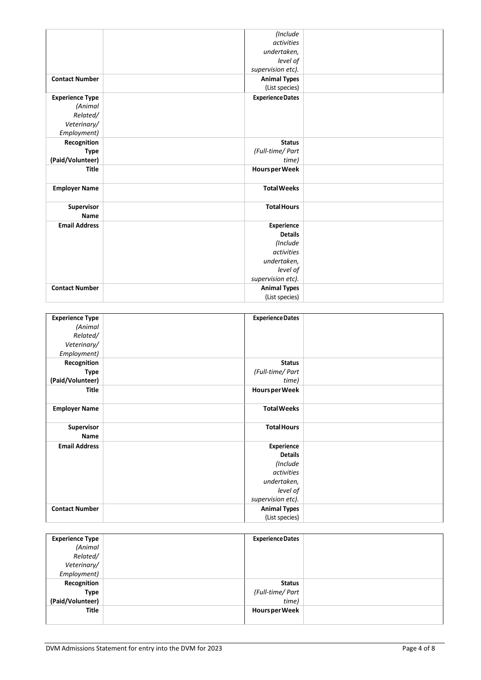|                        | (Include                |  |
|------------------------|-------------------------|--|
|                        | <i>activities</i>       |  |
|                        | undertaken,             |  |
|                        | level of                |  |
|                        | supervision etc).       |  |
| <b>Contact Number</b>  | <b>Animal Types</b>     |  |
|                        | (List species)          |  |
| <b>Experience Type</b> | <b>Experience Dates</b> |  |
| (Animal                |                         |  |
| Related/               |                         |  |
| Veterinary/            |                         |  |
| Employment)            |                         |  |
| Recognition            | <b>Status</b>           |  |
| <b>Type</b>            | (Full-time/ Part        |  |
| (Paid/Volunteer)       | time)                   |  |
| <b>Title</b>           | Hours per Week          |  |
| <b>Employer Name</b>   | <b>Total Weeks</b>      |  |
| Supervisor<br>Name     | <b>Total Hours</b>      |  |
| <b>Email Address</b>   | Experience              |  |
|                        | <b>Details</b>          |  |
|                        | (Include                |  |
|                        | <i>activities</i>       |  |
|                        | undertaken,             |  |
|                        | level of                |  |
|                        | supervision etc).       |  |
| <b>Contact Number</b>  | <b>Animal Types</b>     |  |
|                        | (List species)          |  |

| <b>Experience Type</b> | <b>Experience Dates</b> |  |
|------------------------|-------------------------|--|
| (Animal                |                         |  |
| Related/               |                         |  |
| Veterinary/            |                         |  |
| Employment)            |                         |  |
| Recognition            | <b>Status</b>           |  |
| <b>Type</b>            | (Full-time/ Part        |  |
| (Paid/Volunteer)       | time)                   |  |
| <b>Title</b>           | Hours per Week          |  |
|                        |                         |  |
| <b>Employer Name</b>   | <b>Total Weeks</b>      |  |
|                        |                         |  |
| Supervisor             | <b>Total Hours</b>      |  |
| Name                   |                         |  |
| <b>Email Address</b>   | Experience              |  |
|                        | <b>Details</b>          |  |
|                        | (Include                |  |
|                        | activities              |  |
|                        | undertaken,             |  |
|                        | level of                |  |
|                        | supervision etc).       |  |
| <b>Contact Number</b>  | <b>Animal Types</b>     |  |
|                        | (List species)          |  |

| <b>Experience Type</b> | <b>Experience Dates</b> |  |
|------------------------|-------------------------|--|
| (Animal                |                         |  |
| Related/               |                         |  |
| Veterinary/            |                         |  |
| Employment)            |                         |  |
| Recognition            | <b>Status</b>           |  |
| <b>Type</b>            | (Full-time/ Part        |  |
| (Paid/Volunteer)       | time)                   |  |
| <b>Title</b>           | <b>Hours per Week</b>   |  |
|                        |                         |  |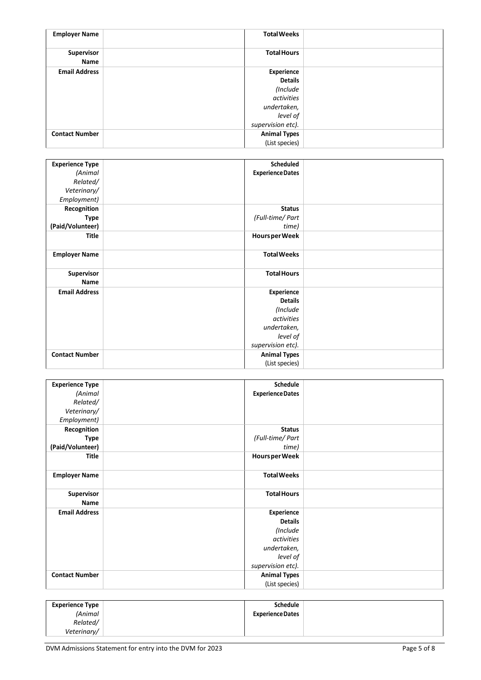| <b>Employer Name</b>  | <b>Total Weeks</b>  |  |
|-----------------------|---------------------|--|
| Supervisor<br>Name    | <b>Total Hours</b>  |  |
| <b>Email Address</b>  | Experience          |  |
|                       | <b>Details</b>      |  |
|                       | (Include            |  |
|                       | activities          |  |
|                       | undertaken,         |  |
|                       | level of            |  |
|                       | supervision etc).   |  |
| <b>Contact Number</b> | <b>Animal Types</b> |  |
|                       | (List species)      |  |

| <b>Experience Type</b> | <b>Scheduled</b>        |  |
|------------------------|-------------------------|--|
| (Animal                | <b>Experience Dates</b> |  |
| Related/               |                         |  |
| Veterinary/            |                         |  |
| Employment)            |                         |  |
| Recognition            | <b>Status</b>           |  |
| Type                   | (Full-time/ Part        |  |
| (Paid/Volunteer)       | time)                   |  |
| <b>Title</b>           | Hours per Week          |  |
| <b>Employer Name</b>   | <b>Total Weeks</b>      |  |
| <b>Supervisor</b>      | <b>Total Hours</b>      |  |
| Name                   |                         |  |
| <b>Email Address</b>   | Experience              |  |
|                        | <b>Details</b>          |  |
|                        | (Include                |  |
|                        | <i>activities</i>       |  |
|                        | undertaken,             |  |
|                        | level of                |  |
|                        | supervision etc).       |  |
| <b>Contact Number</b>  | <b>Animal Types</b>     |  |
|                        | (List species)          |  |

| <b>Experience Type</b> | Schedule                |  |
|------------------------|-------------------------|--|
| (Animal                | <b>Experience Dates</b> |  |
| Related/               |                         |  |
| Veterinary/            |                         |  |
| Employment)            |                         |  |
| Recognition            | <b>Status</b>           |  |
| Type                   | (Full-time/ Part        |  |
| (Paid/Volunteer)       | time)                   |  |
| Title                  | Hours per Week          |  |
|                        |                         |  |
| <b>Employer Name</b>   | <b>Total Weeks</b>      |  |
|                        |                         |  |
| <b>Supervisor</b>      | <b>Total Hours</b>      |  |
| Name                   |                         |  |
| <b>Email Address</b>   | Experience              |  |
|                        | <b>Details</b>          |  |
|                        | (Include                |  |
|                        | activities              |  |
|                        | undertaken,             |  |
|                        | level of                |  |
|                        | supervision etc).       |  |
| <b>Contact Number</b>  | <b>Animal Types</b>     |  |
|                        | (List species)          |  |

| <b>Experience Type</b> | Schedule                |
|------------------------|-------------------------|
| (Animal                | <b>Experience Dates</b> |
| Related/               |                         |
| Veterinary/            |                         |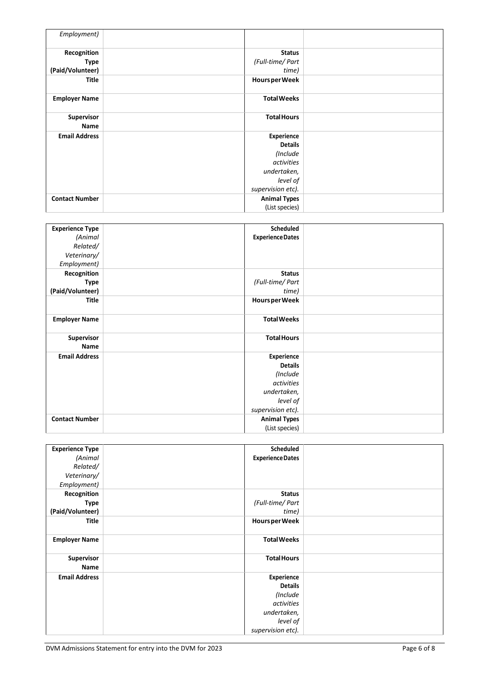| Employment)               |                     |  |
|---------------------------|---------------------|--|
| Recognition               | <b>Status</b>       |  |
| Type                      | (Full-time/ Part    |  |
| (Paid/Volunteer)          | time)               |  |
| Title                     | Hours per Week      |  |
| <b>Employer Name</b>      | <b>Total Weeks</b>  |  |
| <b>Supervisor</b><br>Name | <b>Total Hours</b>  |  |
| <b>Email Address</b>      | Experience          |  |
|                           | <b>Details</b>      |  |
|                           | (Include            |  |
|                           | activities          |  |
|                           | undertaken,         |  |
|                           | level of            |  |
|                           | supervision etc).   |  |
| <b>Contact Number</b>     | <b>Animal Types</b> |  |
|                           | (List species)      |  |

| <b>Experience Type</b> | <b>Scheduled</b>        |  |
|------------------------|-------------------------|--|
| (Animal                | <b>Experience Dates</b> |  |
| Related/               |                         |  |
| Veterinary/            |                         |  |
| Employment)            |                         |  |
| Recognition            | <b>Status</b>           |  |
| <b>Type</b>            | (Full-time/ Part        |  |
| (Paid/Volunteer)       | time)                   |  |
| <b>Title</b>           | Hours per Week          |  |
|                        |                         |  |
| <b>Employer Name</b>   | <b>Total Weeks</b>      |  |
|                        |                         |  |
| Supervisor             | <b>Total Hours</b>      |  |
| Name                   |                         |  |
| <b>Email Address</b>   | Experience              |  |
|                        | <b>Details</b>          |  |
|                        | (Include                |  |
|                        | activities              |  |
|                        | undertaken,             |  |
|                        | level of                |  |
|                        | supervision etc).       |  |
| <b>Contact Number</b>  | <b>Animal Types</b>     |  |
|                        | (List species)          |  |

| <b>Experience Type</b> | Scheduled               |  |
|------------------------|-------------------------|--|
| (Animal                | <b>Experience Dates</b> |  |
| Related/               |                         |  |
| Veterinary/            |                         |  |
| Employment)            |                         |  |
| Recognition            | <b>Status</b>           |  |
| <b>Type</b>            | (Full-time/ Part        |  |
| (Paid/Volunteer)       | time)                   |  |
| <b>Title</b>           | Hours per Week          |  |
| <b>Employer Name</b>   | <b>Total Weeks</b>      |  |
| Supervisor<br>Name     | <b>Total Hours</b>      |  |
| <b>Email Address</b>   | Experience              |  |
|                        | <b>Details</b>          |  |
|                        | (Include                |  |
|                        | activities              |  |
|                        | undertaken,             |  |
|                        | level of                |  |
|                        | supervision etc).       |  |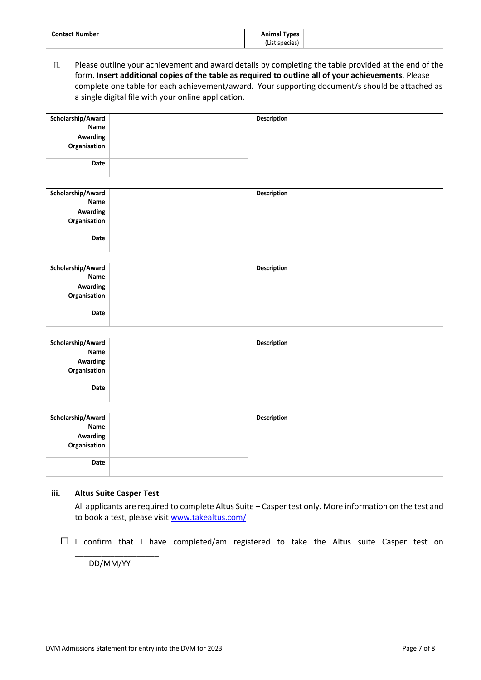| <b>Contact Number</b> | <b>Animal Types</b> |
|-----------------------|---------------------|
|                       | (List species)      |

ii. Please outline your achievement and award details by completing the table provided at the end of the form. **Insert additional copies of the table as required to outline all of your achievements**. Please complete one table for each achievement/award. Your supporting document/s should be attached as a single digital file with your online application.

| Scholarship/Award        | Description |  |
|--------------------------|-------------|--|
| Name                     |             |  |
| Awarding<br>Organisation |             |  |
|                          |             |  |
|                          |             |  |
| Date                     |             |  |
|                          |             |  |

| Scholarship/Award        | <b>Description</b> |  |
|--------------------------|--------------------|--|
| Name                     |                    |  |
| Awarding<br>Organisation |                    |  |
|                          |                    |  |
|                          |                    |  |
| Date                     |                    |  |
|                          |                    |  |

| Scholarship/Award        | Description |  |
|--------------------------|-------------|--|
| Name                     |             |  |
| Awarding<br>Organisation |             |  |
| Date                     |             |  |

| Scholarship/Award        | Description |  |
|--------------------------|-------------|--|
| <b>Name</b>              |             |  |
| Awarding<br>Organisation |             |  |
| Date                     |             |  |

| Scholarship/Award        | <b>Description</b> |  |
|--------------------------|--------------------|--|
| <b>Name</b>              |                    |  |
| Awarding<br>Organisation |                    |  |
| Date                     |                    |  |

### **iii. Altus Suite Casper Test**

All applicants are required to complete Altus Suite – Casper test only. More information on the test and to book a test, please visit [www.takealtus.com/](http://www.takealtus.com/) 

 $\Box$  I confirm that I have completed/am registered to take the Altus suite Casper test on

DD/MM/YY

\_\_\_\_\_\_\_\_\_\_\_\_\_\_\_\_\_\_\_